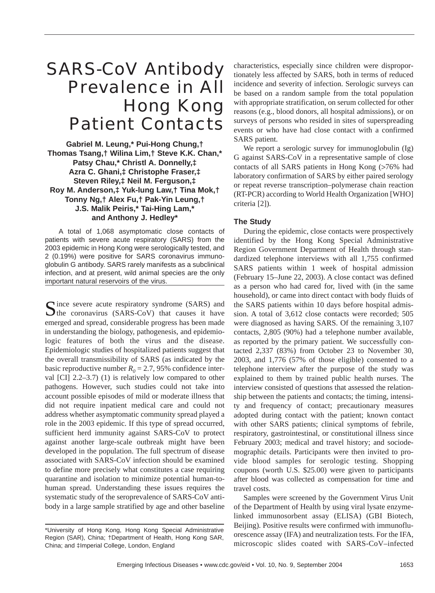# SARS-CoV Antibody Prevalence in All Hong Kong Patient Contacts

**Gabriel M. Leung,\* Pui-Hong Chung,† Thomas Tsang,† Wilina Lim,† Steve K.K. Chan,\* Patsy Chau,\* Christl A. Donnelly,‡ Azra C. Ghani,‡ Christophe Fraser,‡ Steven Riley,‡ Neil M. Ferguson,‡ Roy M. Anderson,‡ Yuk-lung Law,† Tina Mok,† Tonny Ng,† Alex Fu,† Pak-Yin Leung,† J.S. Malik Peiris,\* Tai-Hing Lam,\* and Anthony J. Hedley\***

A total of 1,068 asymptomatic close contacts of patients with severe acute respiratory (SARS) from the 2003 epidemic in Hong Kong were serologically tested, and 2 (0.19%) were positive for SARS coronavirus immunoglobulin G antibody. SARS rarely manifests as a subclinical infection, and at present, wild animal species are the only important natural reservoirs of the virus.

Since severe acute respiratory syndrome (SARS) and  $\bigcup$  the coronavirus (SARS-CoV) that causes it have emerged and spread, considerable progress has been made in understanding the biology, pathogenesis, and epidemiologic features of both the virus and the disease. Epidemiologic studies of hospitalized patients suggest that the overall transmissibility of SARS (as indicated by the basic reproductive number  $R_0 = 2.7$ , 95% confidence interval [CI] 2.2–3.7) (1) is relatively low compared to other pathogens. However, such studies could not take into account possible episodes of mild or moderate illness that did not require inpatient medical care and could not address whether asymptomatic community spread played a role in the 2003 epidemic. If this type of spread occurred, sufficient herd immunity against SARS-CoV to protect against another large-scale outbreak might have been developed in the population. The full spectrum of disease associated with SARS-CoV infection should be examined to define more precisely what constitutes a case requiring quarantine and isolation to minimize potential human-tohuman spread. Understanding these issues requires the systematic study of the seroprevalence of SARS-CoV antibody in a large sample stratified by age and other baseline

characteristics, especially since children were disproportionately less affected by SARS, both in terms of reduced incidence and severity of infection. Serologic surveys can be based on a random sample from the total population with appropriate stratification, on serum collected for other reasons (e.g., blood donors, all hospital admissions), or on surveys of persons who resided in sites of superspreading events or who have had close contact with a confirmed SARS patient.

We report a serologic survey for immunoglobulin (Ig) G against SARS-CoV in a representative sample of close contacts of all SARS patients in Hong Kong (>76% had laboratory confirmation of SARS by either paired serology or repeat reverse transcription–polymerase chain reaction (RT-PCR) according to World Health Organization [WHO] criteria [2]).

## **The Study**

During the epidemic, close contacts were prospectively identified by the Hong Kong Special Administrative Region Government Department of Health through standardized telephone interviews with all 1,755 confirmed SARS patients within 1 week of hospital admission (February 15–June 22, 2003). A close contact was defined as a person who had cared for, lived with (in the same household), or came into direct contact with body fluids of the SARS patients within 10 days before hospital admission. A total of 3,612 close contacts were recorded; 505 were diagnosed as having SARS. Of the remaining 3,107 contacts, 2,805 (90%) had a telephone number available, as reported by the primary patient. We successfully contacted 2,337 (83%) from October 23 to November 30, 2003, and 1,776 (57% of those eligible) consented to a telephone interview after the purpose of the study was explained to them by trained public health nurses. The interview consisted of questions that assessed the relationship between the patients and contacts; the timing, intensity and frequency of contact; precautionary measures adopted during contact with the patient; known contact with other SARS patients; clinical symptoms of febrile, respiratory, gastrointestinal, or constitutional illness since February 2003; medical and travel history; and sociodemographic details. Participants were then invited to provide blood samples for serologic testing. Shopping coupons (worth U.S. \$25.00) were given to participants after blood was collected as compensation for time and travel costs.

Samples were screened by the Government Virus Unit of the Department of Health by using viral lysate enzymelinked immunosorbent assay (ELISA) (GBI Biotech, Beijing). Positive results were confirmed with immunofluorescence assay (IFA) and neutralization tests. For the IFA, microscopic slides coated with SARS-CoV–infected

<sup>\*</sup>University of Hong Kong, Hong Kong Special Administrative Region (SAR), China; †Department of Health, Hong Kong SAR, China; and ‡Imperial College, London, England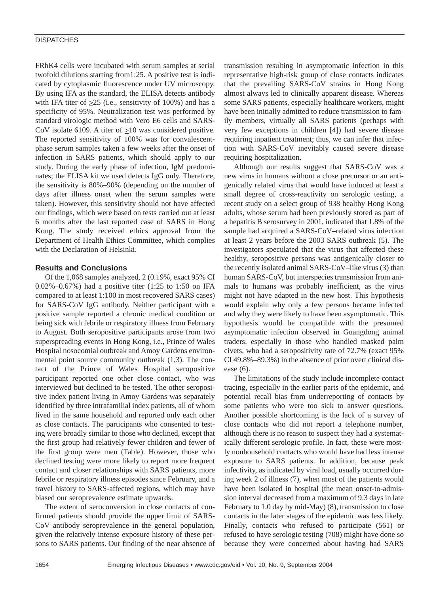### **DISPATCHES**

FRhK4 cells were incubated with serum samples at serial twofold dilutions starting from1:25. A positive test is indicated by cytoplasmic fluorescence under UV microscopy. By using IFA as the standard, the ELISA detects antibody with IFA titer of  $\geq$ 25 (i.e., sensitivity of 100%) and has a specificity of 95%. Neutralization test was performed by standard virologic method with Vero E6 cells and SARS-CoV isolate 6109. A titer of  $\geq 10$  was considered positive. The reported sensitivity of 100% was for convalescentphase serum samples taken a few weeks after the onset of infection in SARS patients, which should apply to our study. During the early phase of infection, IgM predominates; the ELISA kit we used detects IgG only. Therefore, the sensitivity is 80%–90% (depending on the number of days after illness onset when the serum samples were taken). However, this sensitivity should not have affected our findings, which were based on tests carried out at least 6 months after the last reported case of SARS in Hong Kong. The study received ethics approval from the Department of Health Ethics Committee, which complies with the Declaration of Helsinki.

## **Results and Conclusions**

Of the 1,068 samples analyzed, 2 (0.19%, exact 95% CI 0.02%–0.67%) had a positive titer (1:25 to 1:50 on IFA compared to at least 1:100 in most recovered SARS cases) for SARS-CoV IgG antibody. Neither participant with a positive sample reported a chronic medical condition or being sick with febrile or respiratory illness from February to August. Both seropositive participants arose from two superspreading events in Hong Kong, i.e., Prince of Wales Hospital nosocomial outbreak and Amoy Gardens environmental point source community outbreak (1,3). The contact of the Prince of Wales Hospital seropositive participant reported one other close contact, who was interviewed but declined to be tested. The other seropositive index patient living in Amoy Gardens was separately identified by three intrafamilial index patients, all of whom lived in the same household and reported only each other as close contacts. The participants who consented to testing were broadly similar to those who declined, except that the first group had relatively fewer children and fewer of the first group were men (Table). However, those who declined testing were more likely to report more frequent contact and closer relationships with SARS patients, more febrile or respiratory illness episodes since February, and a travel history to SARS-affected regions, which may have biased our seroprevalence estimate upwards.

The extent of seroconversion in close contacts of confirmed patients should provide the upper limit of SARS-CoV antibody seroprevalence in the general population, given the relatively intense exposure history of these persons to SARS patients. Our finding of the near absence of transmission resulting in asymptomatic infection in this representative high-risk group of close contacts indicates that the prevailing SARS-CoV strains in Hong Kong almost always led to clinically apparent disease. Whereas some SARS patients, especially healthcare workers, might have been initially admitted to reduce transmission to family members, virtually all SARS patients (perhaps with very few exceptions in children [4]) had severe disease requiring inpatient treatment; thus, we can infer that infection with SARS-CoV inevitably caused severe disease requiring hospitalization.

Although our results suggest that SARS-CoV was a new virus in humans without a close precursor or an antigenically related virus that would have induced at least a small degree of cross-reactivity on serologic testing, a recent study on a select group of 938 healthy Hong Kong adults, whose serum had been previously stored as part of a hepatitis B serosurvey in 2001, indicated that 1.8% of the sample had acquired a SARS-CoV–related virus infection at least 2 years before the 2003 SARS outbreak (5). The investigators speculated that the virus that affected these healthy, seropositive persons was antigenically closer to the recently isolated animal SARS-CoV–like virus (3) than human SARS-CoV, but interspecies transmission from animals to humans was probably inefficient, as the virus might not have adapted in the new host. This hypothesis would explain why only a few persons became infected and why they were likely to have been asymptomatic. This hypothesis would be compatible with the presumed asymptomatic infection observed in Guangdong animal traders, especially in those who handled masked palm civets, who had a seropositivity rate of 72.7% (exact 95% CI 49.8%–89.3%) in the absence of prior overt clinical disease (6).

The limitations of the study include incomplete contact tracing, especially in the earlier parts of the epidemic, and potential recall bias from underreporting of contacts by some patients who were too sick to answer questions. Another possible shortcoming is the lack of a survey of close contacts who did not report a telephone number, although there is no reason to suspect they had a systematically different serologic profile. In fact, these were mostly nonhousehold contacts who would have had less intense exposure to SARS patients. In addition, because peak infectivity, as indicated by viral load, usually occurred during week 2 of illness (7), when most of the patients would have been isolated in hospital (the mean onset-to-admission interval decreased from a maximum of 9.3 days in late February to 1.0 day by mid-May) (8), transmission to close contacts in the later stages of the epidemic was less likely. Finally, contacts who refused to participate (561) or refused to have serologic testing (708) might have done so because they were concerned about having had SARS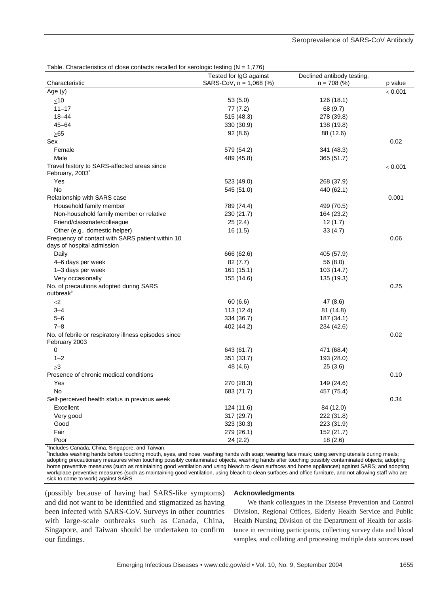| Table. Characteristics of close contacts recalled for serologic testing ( $N = 1,776$ ) |                           |                            |         |
|-----------------------------------------------------------------------------------------|---------------------------|----------------------------|---------|
|                                                                                         | Tested for IgG against    | Declined antibody testing, |         |
| Characteristic                                                                          | SARS-CoV, $n = 1,068$ (%) | $n = 708$ (%)              | p value |
| Age $(y)$                                                                               |                           |                            | < 0.001 |
| ${\leq}10$                                                                              | 53 (5.0)                  | 126 (18.1)                 |         |
| $11 - 17$                                                                               | 77(7.2)                   | 68 (9.7)                   |         |
| $18 - 44$                                                                               | 515 (48.3)                | 278 (39.8)                 |         |
| $45 - 64$                                                                               | 330 (30.9)                | 138 (19.8)                 |         |
| >65                                                                                     | 92(8.6)                   | 88 (12.6)                  |         |
| Sex                                                                                     |                           |                            | 0.02    |
| Female                                                                                  | 579 (54.2)                | 341 (48.3)                 |         |
| Male                                                                                    | 489 (45.8)                | 365 (51.7)                 |         |
| Travel history to SARS-affected areas since                                             |                           |                            | < 0.001 |
| February, 2003 <sup>ª</sup>                                                             |                           |                            |         |
| Yes                                                                                     | 523 (49.0)                | 268 (37.9)                 |         |
| <b>No</b>                                                                               | 545 (51.0)                | 440 (62.1)                 |         |
| Relationship with SARS case                                                             |                           |                            | 0.001   |
| Household family member                                                                 | 789 (74.4)                | 499 (70.5)                 |         |
| Non-household family member or relative                                                 | 230 (21.7)                | 164 (23.2)                 |         |
| Friend/classmate/colleague                                                              | 25(2.4)                   | 12(1.7)                    |         |
| Other (e.g., domestic helper)                                                           | 16(1.5)                   | 33(4.7)                    |         |
| Frequency of contact with SARS patient within 10<br>days of hospital admission          |                           |                            | 0.06    |
| Daily                                                                                   | 666 (62.6)                | 405 (57.9)                 |         |
| 4-6 days per week                                                                       | 82 (7.7)                  | 56 (8.0)                   |         |
| 1-3 days per week                                                                       | 161 (15.1)                | 103 (14.7)                 |         |
| Very occasionally                                                                       | 155 (14.6)                | 135 (19.3)                 |         |
| No. of precautions adopted during SARS                                                  |                           |                            | 0.25    |
| outbreak <sup>b</sup>                                                                   |                           |                            |         |
| $\leq$ 2                                                                                | 60(6.6)                   | 47 (8.6)                   |         |
| $3 - 4$                                                                                 | 113 (12.4)                | 81 (14.8)                  |         |
| $5 - 6$                                                                                 | 334 (36.7)                | 187 (34.1)                 |         |
| $7 - 8$                                                                                 | 402 (44.2)                | 234 (42.6)                 |         |
| No. of febrile or respiratory illness episodes since<br>February 2003                   |                           |                            | 0.02    |
| $\mathbf 0$                                                                             | 643 (61.7)                | 471 (68.4)                 |         |
| $1 - 2$                                                                                 | 351 (33.7)                | 193 (28.0)                 |         |
| >3                                                                                      | 48 (4.6)                  | 25(3.6)                    |         |
| Presence of chronic medical conditions                                                  |                           |                            | 0.10    |
| Yes                                                                                     | 270 (28.3)                | 149 (24.6)                 |         |
| <b>No</b>                                                                               | 683 (71.7)                | 457 (75.4)                 |         |
| Self-perceived health status in previous week                                           |                           |                            | 0.34    |
| Excellent                                                                               | 124 (11.6)                | 84 (12.0)                  |         |
| Very good                                                                               | 317 (29.7)                | 222 (31.8)                 |         |
| Good                                                                                    | 323 (30.3)                | 223 (31.9)                 |         |
| Fair                                                                                    | 279 (26.1)                | 152 (21.7)                 |         |
| Poor                                                                                    | 24(2.2)                   | 18(2.6)                    |         |
| <sup>a</sup> Includes Canada, China, Singapore, and Taiwan.                             |                           |                            |         |

#### Seroprevalence of SARS-CoV Antibody

b Includes washing hands before touching mouth, eyes, and nose; washing hands with soap; wearing face mask; using serving utensils during meals; adopting precautionary measures when touching possibly contaminated objects, washing hands after touching possibly contaminated objects; adopting home preventive measures (such as maintaining good ventilation and using bleach to clean surfaces and home appliances) against SARS; and adopting workplace preventive measures (such as maintaining good ventilation, using bleach to clean surfaces and office furniture, and not allowing staff who are sick to come to work) against SARS.

(possibly because of having had SARS-like symptoms) and did not want to be identified and stigmatized as having been infected with SARS-CoV. Surveys in other countries with large-scale outbreaks such as Canada, China, Singapore, and Taiwan should be undertaken to confirm our findings.

#### **Acknowledgments**

We thank colleagues in the Disease Prevention and Control Division, Regional Offices, Elderly Health Service and Public Health Nursing Division of the Department of Health for assistance in recruiting participants, collecting survey data and blood samples, and collating and processing multiple data sources used